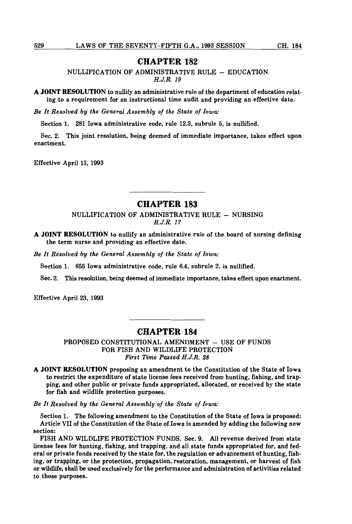### **CHAPTER 182**

NULLIFICATION OF ADMINISTRATIVE RULE - EDUCATION *H.J.R. 19* 

**A JOINT RESOLUTION** to nullify an administrative rule of the department of education relating to a requirement for an instructional time audit and providing an effective date.

*Be It Resolved by the General Assembly of the State of Iowa:* 

Section 1. 281 Iowa administrative code, rule 12.3, subrule 5, is nullified.

Sec. 2. This joint resolution, being deemed of immediate importance, takes effect upon enactment.

Effective April 13, 1993

# **CHAPTER 183**

NULLIFICATION OF ADMINISTRATIVE RULE - NURSING *H.J.R. 17* 

**A JOINT RESOLUTION** to nullify an administrative rule of the board of nursing defining the term nurse and providing an effective date.

*Be It Resolved by the General Assembly of the State of Iowa:* 

Section 1. 655 Iowa administrative code, rule 6.4, subrule 2, is nullified.

Sec. 2. This resolution, being deemed of immediate importance, takes effect upon enactment.

Effective April 23, 1993

## **CHAPTER 184**

PROPOSED CONSTITUTIONAL AMENDMENT - USE OF FUNDS FOR FISH AND WILDLIFE PROTECTION *First Time Passed H.J.R. 28* 

**A JOINT RESOLUTION** proposing an amendment to the Constitution of the State of Iowa to restrict the expenditure of state license fees received from hunting, fishing, and trapping, and other public or private funds appropriated, allocated, or received by the state for fish and wildlife protection purposes.

*Be It Resolved by the General Assembly of the State of Iowa:* 

Section 1. The following amendment to the Constitution of the State of Iowa is proposed: Article VII of the Constitution of the State of Iowa is amended by adding the following new section:

FISH AND WILDLIFE PROTECTION FUNDS. Sec. 9. All revenue derived from state license fees for hunting, fishing, and trapping, and all state funds appropriated for, and federal or private funds received by the state for, the regulation or advancement of hunting, fishing, or trapping, or the protection, propagation, restoration, management, or harvest of fish or wildlife, shall be used exclusively for the performance and administration of activities related to those purposes.